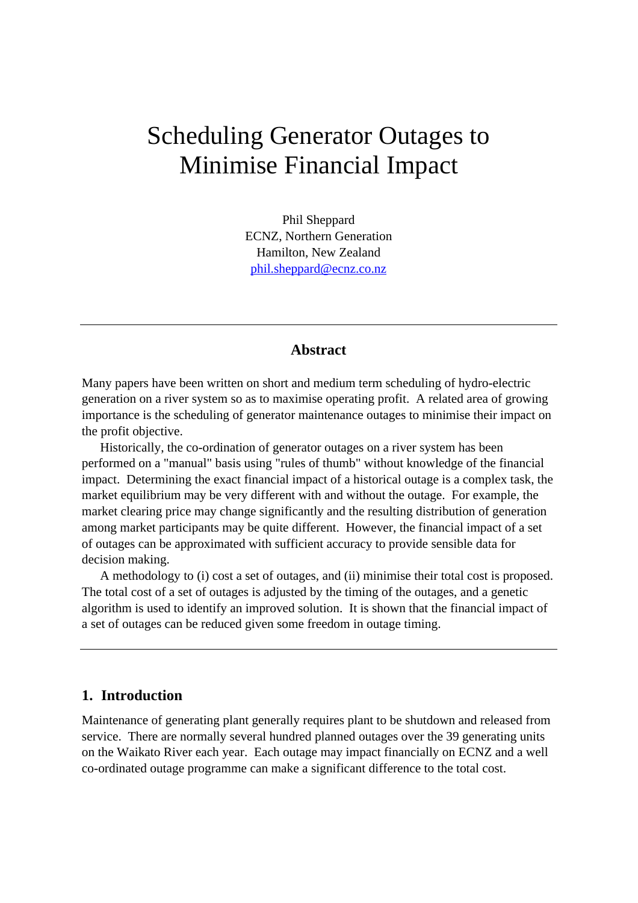# Scheduling Generator Outages to Minimise Financial Impact

Phil Sheppard ECNZ, Northern Generation Hamilton, New Zealand phil.sheppard@ecnz.co.nz

# **Abstract**

Many papers have been written on short and medium term scheduling of hydro-electric generation on a river system so as to maximise operating profit. A related area of growing importance is the scheduling of generator maintenance outages to minimise their impact on the profit objective.

Historically, the co-ordination of generator outages on a river system has been performed on a "manual" basis using "rules of thumb" without knowledge of the financial impact. Determining the exact financial impact of a historical outage is a complex task, the market equilibrium may be very different with and without the outage. For example, the market clearing price may change significantly and the resulting distribution of generation among market participants may be quite different. However, the financial impact of a set of outages can be approximated with sufficient accuracy to provide sensible data for decision making.

A methodology to (i) cost a set of outages, and (ii) minimise their total cost is proposed. The total cost of a set of outages is adjusted by the timing of the outages, and a genetic algorithm is used to identify an improved solution. It is shown that the financial impact of a set of outages can be reduced given some freedom in outage timing.

## **1. Introduction**

Maintenance of generating plant generally requires plant to be shutdown and released from service. There are normally several hundred planned outages over the 39 generating units on the Waikato River each year. Each outage may impact financially on ECNZ and a well co-ordinated outage programme can make a significant difference to the total cost.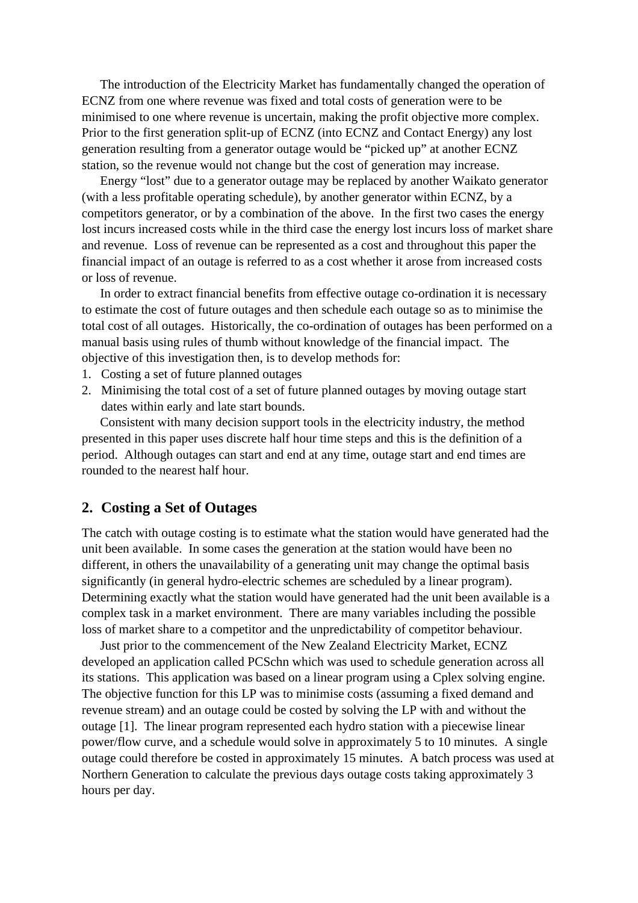The introduction of the Electricity Market has fundamentally changed the operation of ECNZ from one where revenue was fixed and total costs of generation were to be minimised to one where revenue is uncertain, making the profit objective more complex. Prior to the first generation split-up of ECNZ (into ECNZ and Contact Energy) any lost generation resulting from a generator outage would be "picked up" at another ECNZ station, so the revenue would not change but the cost of generation may increase.

Energy "lost" due to a generator outage may be replaced by another Waikato generator (with a less profitable operating schedule), by another generator within ECNZ, by a competitors generator, or by a combination of the above. In the first two cases the energy lost incurs increased costs while in the third case the energy lost incurs loss of market share and revenue. Loss of revenue can be represented as a cost and throughout this paper the financial impact of an outage is referred to as a cost whether it arose from increased costs or loss of revenue.

In order to extract financial benefits from effective outage co-ordination it is necessary to estimate the cost of future outages and then schedule each outage so as to minimise the total cost of all outages. Historically, the co-ordination of outages has been performed on a manual basis using rules of thumb without knowledge of the financial impact. The objective of this investigation then, is to develop methods for:

- 1. Costing a set of future planned outages
- 2. Minimising the total cost of a set of future planned outages by moving outage start dates within early and late start bounds.

Consistent with many decision support tools in the electricity industry, the method presented in this paper uses discrete half hour time steps and this is the definition of a period. Although outages can start and end at any time, outage start and end times are rounded to the nearest half hour.

### **2. Costing a Set of Outages**

The catch with outage costing is to estimate what the station would have generated had the unit been available. In some cases the generation at the station would have been no different, in others the unavailability of a generating unit may change the optimal basis significantly (in general hydro-electric schemes are scheduled by a linear program). Determining exactly what the station would have generated had the unit been available is a complex task in a market environment. There are many variables including the possible loss of market share to a competitor and the unpredictability of competitor behaviour.

Just prior to the commencement of the New Zealand Electricity Market, ECNZ developed an application called PCSchn which was used to schedule generation across all its stations. This application was based on a linear program using a Cplex solving engine. The objective function for this LP was to minimise costs (assuming a fixed demand and revenue stream) and an outage could be costed by solving the LP with and without the outage [1]. The linear program represented each hydro station with a piecewise linear power/flow curve, and a schedule would solve in approximately 5 to 10 minutes. A single outage could therefore be costed in approximately 15 minutes. A batch process was used at Northern Generation to calculate the previous days outage costs taking approximately 3 hours per day.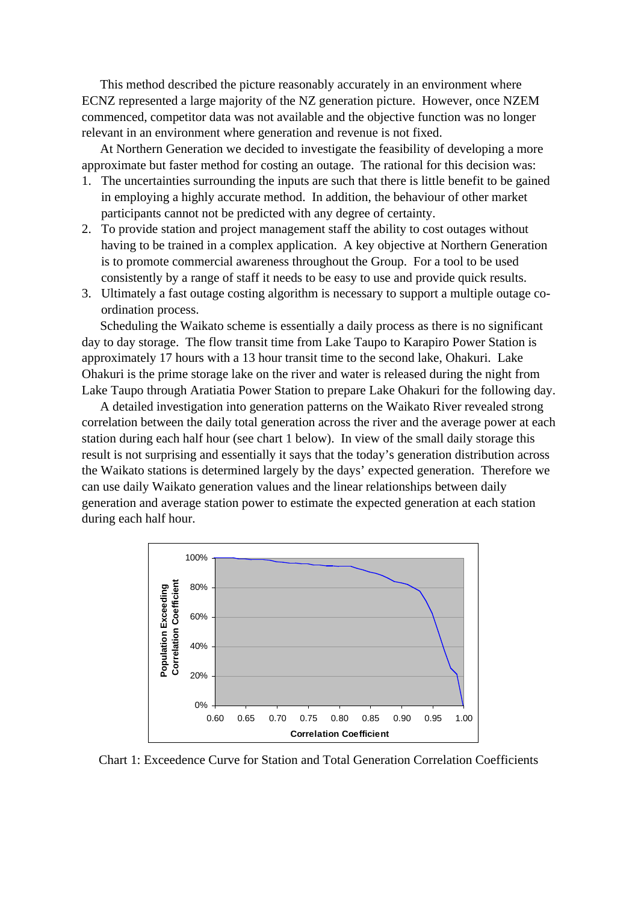This method described the picture reasonably accurately in an environment where ECNZ represented a large majority of the NZ generation picture. However, once NZEM commenced, competitor data was not available and the objective function was no longer relevant in an environment where generation and revenue is not fixed.

At Northern Generation we decided to investigate the feasibility of developing a more approximate but faster method for costing an outage. The rational for this decision was:

- 1. The uncertainties surrounding the inputs are such that there is little benefit to be gained in employing a highly accurate method. In addition, the behaviour of other market participants cannot not be predicted with any degree of certainty.
- 2. To provide station and project management staff the ability to cost outages without having to be trained in a complex application. A key objective at Northern Generation is to promote commercial awareness throughout the Group. For a tool to be used consistently by a range of staff it needs to be easy to use and provide quick results.
- 3. Ultimately a fast outage costing algorithm is necessary to support a multiple outage coordination process.

Scheduling the Waikato scheme is essentially a daily process as there is no significant day to day storage. The flow transit time from Lake Taupo to Karapiro Power Station is approximately 17 hours with a 13 hour transit time to the second lake, Ohakuri. Lake Ohakuri is the prime storage lake on the river and water is released during the night from Lake Taupo through Aratiatia Power Station to prepare Lake Ohakuri for the following day.

A detailed investigation into generation patterns on the Waikato River revealed strong correlation between the daily total generation across the river and the average power at each station during each half hour (see chart 1 below). In view of the small daily storage this result is not surprising and essentially it says that the today's generation distribution across the Waikato stations is determined largely by the days' expected generation. Therefore we can use daily Waikato generation values and the linear relationships between daily generation and average station power to estimate the expected generation at each station during each half hour.



Chart 1: Exceedence Curve for Station and Total Generation Correlation Coefficients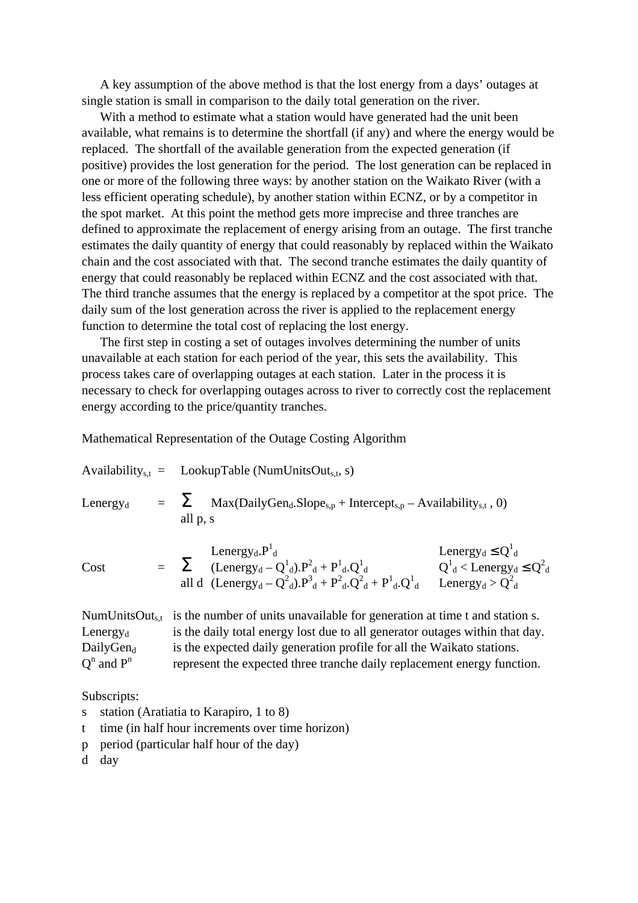A key assumption of the above method is that the lost energy from a days' outages at single station is small in comparison to the daily total generation on the river.

With a method to estimate what a station would have generated had the unit been available, what remains is to determine the shortfall (if any) and where the energy would be replaced. The shortfall of the available generation from the expected generation (if positive) provides the lost generation for the period. The lost generation can be replaced in one or more of the following three ways: by another station on the Waikato River (with a less efficient operating schedule), by another station within ECNZ, or by a competitor in the spot market. At this point the method gets more imprecise and three tranches are defined to approximate the replacement of energy arising from an outage. The first tranche estimates the daily quantity of energy that could reasonably by replaced within the Waikato chain and the cost associated with that. The second tranche estimates the daily quantity of energy that could reasonably be replaced within ECNZ and the cost associated with that. The third tranche assumes that the energy is replaced by a competitor at the spot price. The daily sum of the lost generation across the river is applied to the replacement energy function to determine the total cost of replacing the lost energy.

The first step in costing a set of outages involves determining the number of units unavailable at each station for each period of the year, this sets the availability. This process takes care of overlapping outages at each station. Later in the process it is necessary to check for overlapping outages across to river to correctly cost the replacement energy according to the price/quantity tranches.

Mathematical Representation of the Outage Costing Algorithm

|             | Availability <sub>s.t</sub> = LookupTable (NumUnitsOut <sub>s.t</sub> , s)                                                       |
|-------------|----------------------------------------------------------------------------------------------------------------------------------|
| $LenergV_d$ | $\sum$ Max(DailyGen <sub>d</sub> .Slope <sub>s,p</sub> + Intercept <sub>s,p</sub> – Availability <sub>s,t</sub> , 0)<br>all p, s |

Cost =  $\sum$  (Lenergy<sub>d</sub> – Q<sup>1</sup><sub>d</sub>). $P^2$ <sub>d</sub> + P<sup>1</sup><sub>d</sub>.Q<sup>1</sup><sub>d</sub> Q<sup>1</sup>

all d (Lenergy<sub>d</sub> – Q<sup>2</sup><sub>d</sub>). $P^3$ <sub>d</sub> +  $P^2$ <sub>d</sub>. $Q^2$ <sub>d</sub> +  $P^1$ <sub>d</sub>. $Q^1$ d Lenergy<sub>d</sub> >  $Q_d^2$ NumUnitsOut<sub>s,t</sub> is the number of units unavailable for generation at time t and station s. Lenergy $_{d}$  is the daily total energy lost due to all generator outages within that day. DailyGen $_d$  is the expected daily generation profile for all the Waikato stations.

Lenergy<sub>d</sub>  $P^1$ <sub>d</sub> Lenergy<sub>d</sub>  $\leq Q^1$ 

d

 $1_d$  < Lenergy<sub>d</sub>  $\leq Q_d^2$ 

 $Q^n$  and  $P^n$ represent the expected three tranche daily replacement energy function.

Subscripts:

- s station (Aratiatia to Karapiro, 1 to 8)
- t time (in half hour increments over time horizon)
- p period (particular half hour of the day)

d day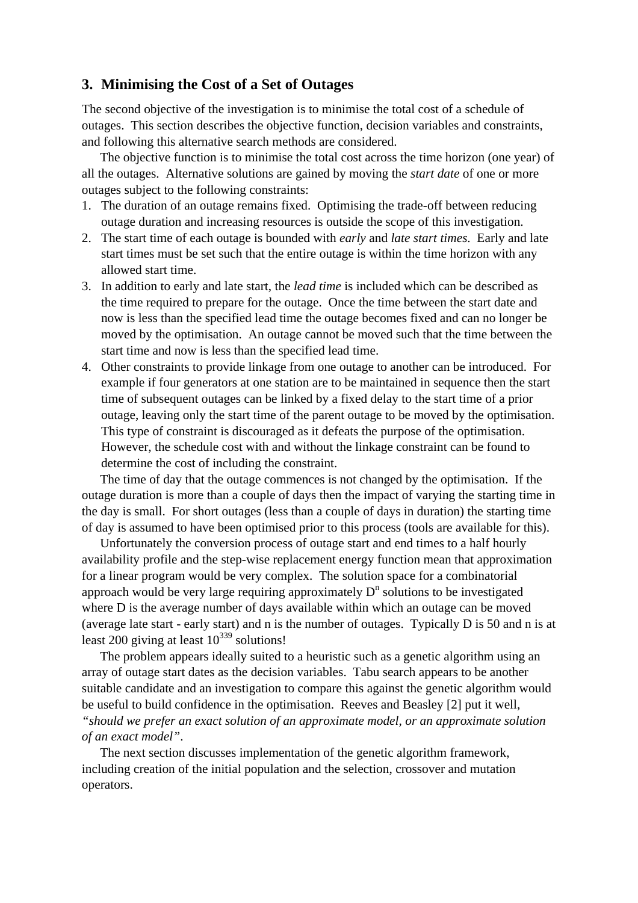# **3. Minimising the Cost of a Set of Outages**

The second objective of the investigation is to minimise the total cost of a schedule of outages. This section describes the objective function, decision variables and constraints, and following this alternative search methods are considered.

The objective function is to minimise the total cost across the time horizon (one year) of all the outages. Alternative solutions are gained by moving the *start date* of one or more outages subject to the following constraints:

- 1. The duration of an outage remains fixed. Optimising the trade-off between reducing outage duration and increasing resources is outside the scope of this investigation.
- 2. The start time of each outage is bounded with *early* and *late start times*. Early and late start times must be set such that the entire outage is within the time horizon with any allowed start time.
- 3. In addition to early and late start, the *lead time* is included which can be described as the time required to prepare for the outage. Once the time between the start date and now is less than the specified lead time the outage becomes fixed and can no longer be moved by the optimisation. An outage cannot be moved such that the time between the start time and now is less than the specified lead time.
- 4. Other constraints to provide linkage from one outage to another can be introduced. For example if four generators at one station are to be maintained in sequence then the start time of subsequent outages can be linked by a fixed delay to the start time of a prior outage, leaving only the start time of the parent outage to be moved by the optimisation. This type of constraint is discouraged as it defeats the purpose of the optimisation. However, the schedule cost with and without the linkage constraint can be found to determine the cost of including the constraint.

The time of day that the outage commences is not changed by the optimisation. If the outage duration is more than a couple of days then the impact of varying the starting time in the day is small. For short outages (less than a couple of days in duration) the starting time of day is assumed to have been optimised prior to this process (tools are available for this).

Unfortunately the conversion process of outage start and end times to a half hourly availability profile and the step-wise replacement energy function mean that approximation for a linear program would be very complex. The solution space for a combinatorial approach would be very large requiring approximately  $D<sup>n</sup>$  solutions to be investigated where D is the average number of days available within which an outage can be moved (average late start - early start) and n is the number of outages. Typically D is 50 and n is at least 200 giving at least  $10^{339}$  solutions!

The problem appears ideally suited to a heuristic such as a genetic algorithm using an array of outage start dates as the decision variables. Tabu search appears to be another suitable candidate and an investigation to compare this against the genetic algorithm would be useful to build confidence in the optimisation. Reeves and Beasley [2] put it well, *"should we prefer an exact solution of an approximate model, or an approximate solution of an exact model"*.

The next section discusses implementation of the genetic algorithm framework, including creation of the initial population and the selection, crossover and mutation operators.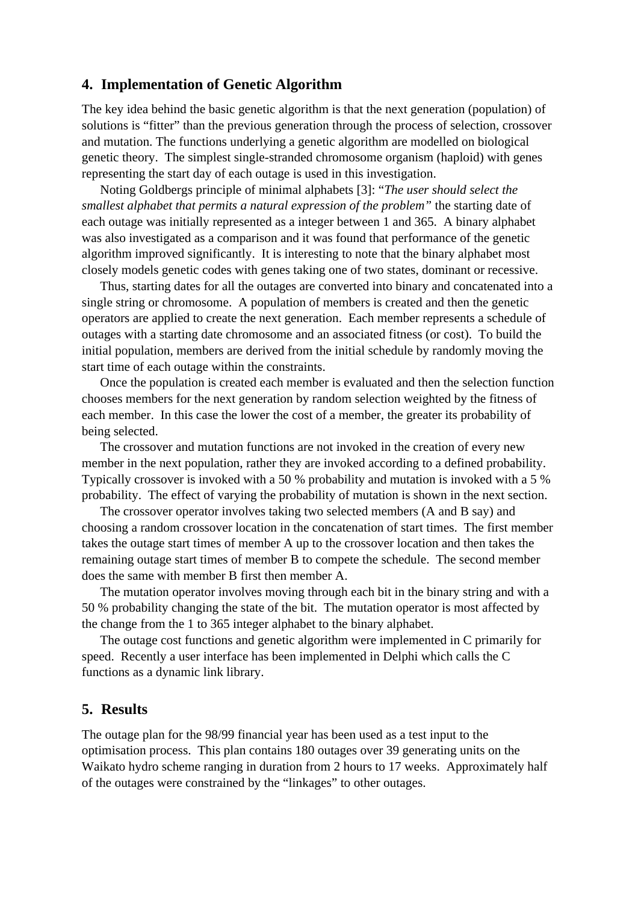#### **4. Implementation of Genetic Algorithm**

The key idea behind the basic genetic algorithm is that the next generation (population) of solutions is "fitter" than the previous generation through the process of selection, crossover and mutation. The functions underlying a genetic algorithm are modelled on biological genetic theory. The simplest single-stranded chromosome organism (haploid) with genes representing the start day of each outage is used in this investigation.

Noting Goldbergs principle of minimal alphabets [3]: "*The user should select the smallest alphabet that permits a natural expression of the problem"* the starting date of each outage was initially represented as a integer between 1 and 365. A binary alphabet was also investigated as a comparison and it was found that performance of the genetic algorithm improved significantly. It is interesting to note that the binary alphabet most closely models genetic codes with genes taking one of two states, dominant or recessive.

Thus, starting dates for all the outages are converted into binary and concatenated into a single string or chromosome. A population of members is created and then the genetic operators are applied to create the next generation. Each member represents a schedule of outages with a starting date chromosome and an associated fitness (or cost). To build the initial population, members are derived from the initial schedule by randomly moving the start time of each outage within the constraints.

Once the population is created each member is evaluated and then the selection function chooses members for the next generation by random selection weighted by the fitness of each member. In this case the lower the cost of a member, the greater its probability of being selected.

The crossover and mutation functions are not invoked in the creation of every new member in the next population, rather they are invoked according to a defined probability. Typically crossover is invoked with a 50 % probability and mutation is invoked with a 5 % probability. The effect of varying the probability of mutation is shown in the next section.

The crossover operator involves taking two selected members (A and B say) and choosing a random crossover location in the concatenation of start times. The first member takes the outage start times of member A up to the crossover location and then takes the remaining outage start times of member B to compete the schedule. The second member does the same with member B first then member A.

The mutation operator involves moving through each bit in the binary string and with a 50 % probability changing the state of the bit. The mutation operator is most affected by the change from the 1 to 365 integer alphabet to the binary alphabet.

The outage cost functions and genetic algorithm were implemented in C primarily for speed. Recently a user interface has been implemented in Delphi which calls the C functions as a dynamic link library.

#### **5. Results**

The outage plan for the 98/99 financial year has been used as a test input to the optimisation process. This plan contains 180 outages over 39 generating units on the Waikato hydro scheme ranging in duration from 2 hours to 17 weeks. Approximately half of the outages were constrained by the "linkages" to other outages.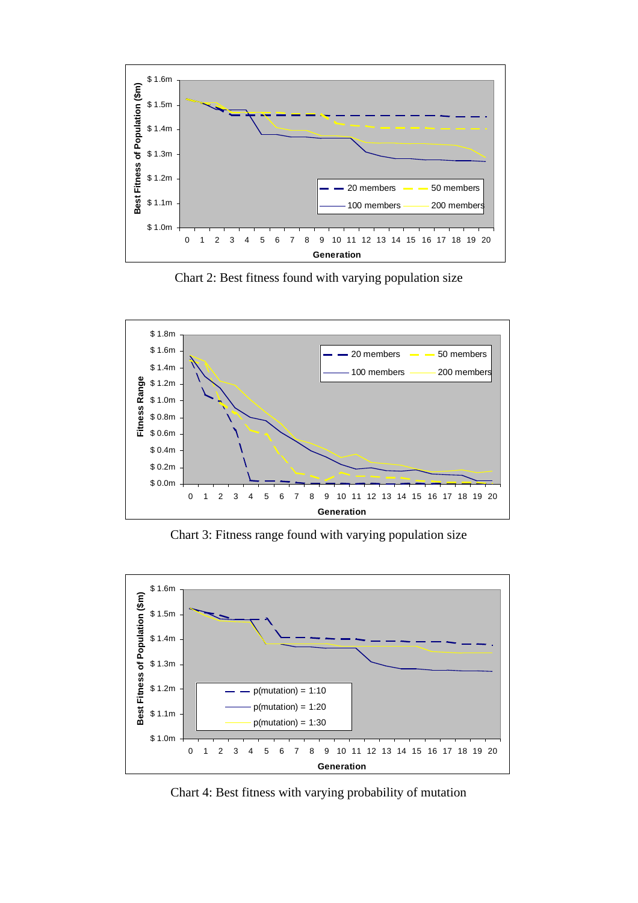

Chart 2: Best fitness found with varying population size



Chart 3: Fitness range found with varying population size



Chart 4: Best fitness with varying probability of mutation